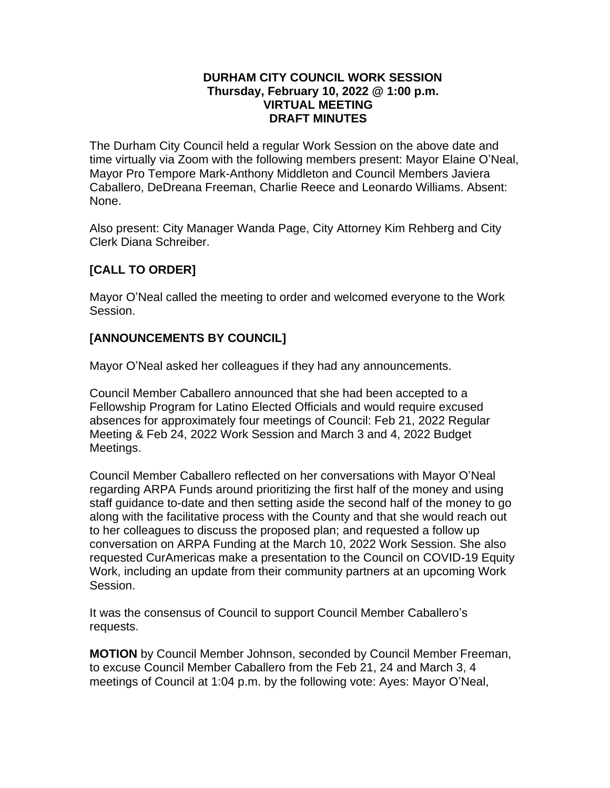#### **DURHAM CITY COUNCIL WORK SESSION Thursday, February 10, 2022 @ 1:00 p.m. VIRTUAL MEETING DRAFT MINUTES**

The Durham City Council held a regular Work Session on the above date and time virtually via Zoom with the following members present: Mayor Elaine O'Neal, Mayor Pro Tempore Mark-Anthony Middleton and Council Members Javiera Caballero, DeDreana Freeman, Charlie Reece and Leonardo Williams. Absent: None.

Also present: City Manager Wanda Page, City Attorney Kim Rehberg and City Clerk Diana Schreiber.

# **[CALL TO ORDER]**

Mayor O'Neal called the meeting to order and welcomed everyone to the Work Session.

# **[ANNOUNCEMENTS BY COUNCIL]**

Mayor O'Neal asked her colleagues if they had any announcements.

Council Member Caballero announced that she had been accepted to a Fellowship Program for Latino Elected Officials and would require excused absences for approximately four meetings of Council: Feb 21, 2022 Regular Meeting & Feb 24, 2022 Work Session and March 3 and 4, 2022 Budget Meetings.

Council Member Caballero reflected on her conversations with Mayor O'Neal regarding ARPA Funds around prioritizing the first half of the money and using staff guidance to-date and then setting aside the second half of the money to go along with the facilitative process with the County and that she would reach out to her colleagues to discuss the proposed plan; and requested a follow up conversation on ARPA Funding at the March 10, 2022 Work Session. She also requested CurAmericas make a presentation to the Council on COVID-19 Equity Work, including an update from their community partners at an upcoming Work Session.

It was the consensus of Council to support Council Member Caballero's requests.

**MOTION** by Council Member Johnson, seconded by Council Member Freeman, to excuse Council Member Caballero from the Feb 21, 24 and March 3, 4 meetings of Council at 1:04 p.m. by the following vote: Ayes: Mayor O'Neal,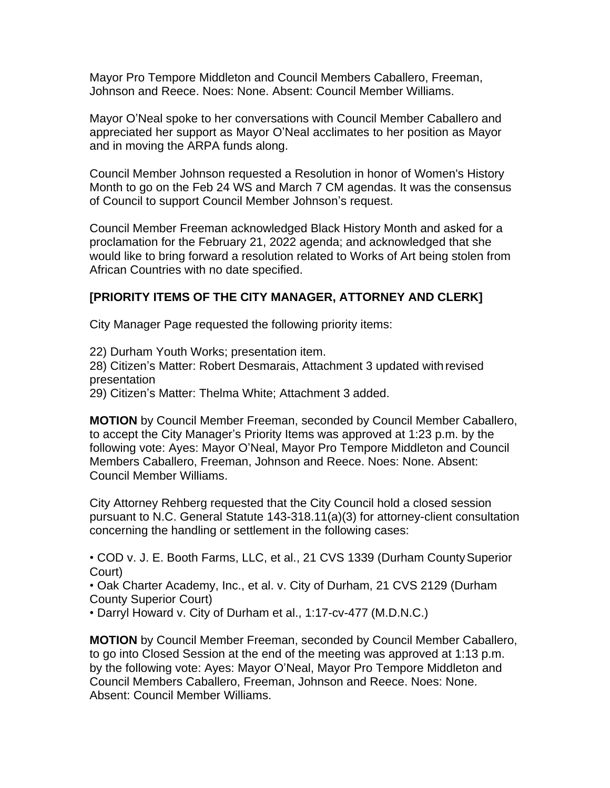Mayor Pro Tempore Middleton and Council Members Caballero, Freeman, Johnson and Reece. Noes: None. Absent: Council Member Williams.

Mayor O'Neal spoke to her conversations with Council Member Caballero and appreciated her support as Mayor O'Neal acclimates to her position as Mayor and in moving the ARPA funds along.

Council Member Johnson requested a Resolution in honor of Women's History Month to go on the Feb 24 WS and March 7 CM agendas. It was the consensus of Council to support Council Member Johnson's request.

Council Member Freeman acknowledged Black History Month and asked for a proclamation for the February 21, 2022 agenda; and acknowledged that she would like to bring forward a resolution related to Works of Art being stolen from African Countries with no date specified.

# **[PRIORITY ITEMS OF THE CITY MANAGER, ATTORNEY AND CLERK]**

City Manager Page requested the following priority items:

22) Durham Youth Works; presentation item.

28) Citizen's Matter: Robert Desmarais, Attachment 3 updated withrevised presentation

29) Citizen's Matter: Thelma White; Attachment 3 added.

**MOTION** by Council Member Freeman, seconded by Council Member Caballero, to accept the City Manager's Priority Items was approved at 1:23 p.m. by the following vote: Ayes: Mayor O'Neal, Mayor Pro Tempore Middleton and Council Members Caballero, Freeman, Johnson and Reece. Noes: None. Absent: Council Member Williams.

City Attorney Rehberg requested that the City Council hold a closed session pursuant to N.C. General Statute 143-318.11(a)(3) for attorney-client consultation concerning the handling or settlement in the following cases:

• COD v. J. E. Booth Farms, LLC, et al., 21 CVS 1339 (Durham County Superior Court)

• Oak Charter Academy, Inc., et al. v. City of Durham, 21 CVS 2129 (Durham County Superior Court)

• Darryl Howard v. City of Durham et al., 1:17-cv-477 (M.D.N.C.)

**MOTION** by Council Member Freeman, seconded by Council Member Caballero, to go into Closed Session at the end of the meeting was approved at 1:13 p.m. by the following vote: Ayes: Mayor O'Neal, Mayor Pro Tempore Middleton and Council Members Caballero, Freeman, Johnson and Reece. Noes: None. Absent: Council Member Williams.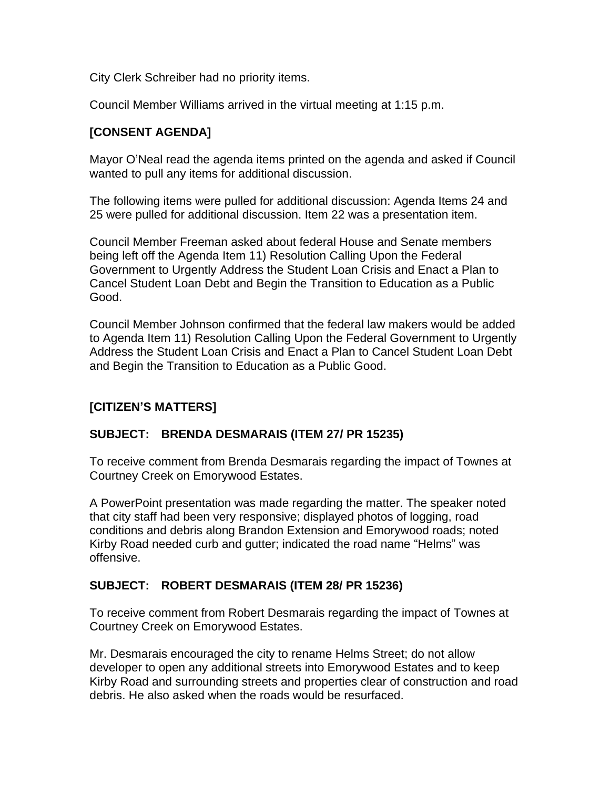City Clerk Schreiber had no priority items.

Council Member Williams arrived in the virtual meeting at 1:15 p.m.

### **[CONSENT AGENDA]**

Mayor O'Neal read the agenda items printed on the agenda and asked if Council wanted to pull any items for additional discussion.

The following items were pulled for additional discussion: Agenda Items 24 and 25 were pulled for additional discussion. Item 22 was a presentation item.

Council Member Freeman asked about federal House and Senate members being left off the Agenda Item 11) Resolution Calling Upon the Federal Government to Urgently Address the Student Loan Crisis and Enact a Plan to Cancel Student Loan Debt and Begin the Transition to Education as a Public Good.

Council Member Johnson confirmed that the federal law makers would be added to Agenda Item 11) Resolution Calling Upon the Federal Government to Urgently Address the Student Loan Crisis and Enact a Plan to Cancel Student Loan Debt and Begin the Transition to Education as a Public Good.

## **[CITIZEN'S MATTERS]**

#### **SUBJECT: BRENDA DESMARAIS (ITEM 27/ PR 15235)**

To receive comment from Brenda Desmarais regarding the impact of Townes at Courtney Creek on Emorywood Estates.

A PowerPoint presentation was made regarding the matter. The speaker noted that city staff had been very responsive; displayed photos of logging, road conditions and debris along Brandon Extension and Emorywood roads; noted Kirby Road needed curb and gutter; indicated the road name "Helms" was offensive.

#### **SUBJECT: ROBERT DESMARAIS (ITEM 28/ PR 15236)**

To receive comment from Robert Desmarais regarding the impact of Townes at Courtney Creek on Emorywood Estates.

Mr. Desmarais encouraged the city to rename Helms Street; do not allow developer to open any additional streets into Emorywood Estates and to keep Kirby Road and surrounding streets and properties clear of construction and road debris. He also asked when the roads would be resurfaced.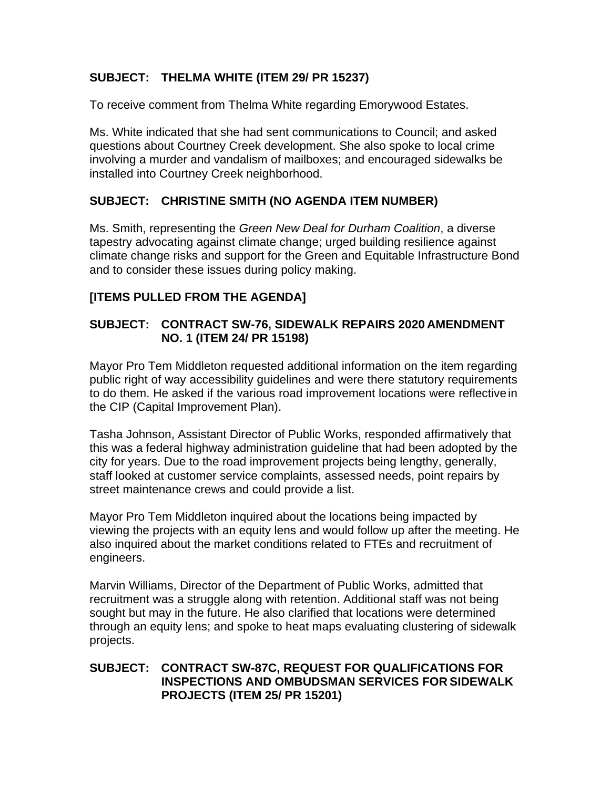## **SUBJECT: THELMA WHITE (ITEM 29/ PR 15237)**

To receive comment from Thelma White regarding Emorywood Estates.

Ms. White indicated that she had sent communications to Council; and asked questions about Courtney Creek development. She also spoke to local crime involving a murder and vandalism of mailboxes; and encouraged sidewalks be installed into Courtney Creek neighborhood.

# **SUBJECT: CHRISTINE SMITH (NO AGENDA ITEM NUMBER)**

Ms. Smith, representing the *Green New Deal for Durham Coalition*, a diverse tapestry advocating against climate change; urged building resilience against climate change risks and support for the Green and Equitable Infrastructure Bond and to consider these issues during policy making.

## **[ITEMS PULLED FROM THE AGENDA]**

### **SUBJECT: CONTRACT SW-76, SIDEWALK REPAIRS 2020 AMENDMENT NO. 1 (ITEM 24/ PR 15198)**

Mayor Pro Tem Middleton requested additional information on the item regarding public right of way accessibility guidelines and were there statutory requirements to do them. He asked if the various road improvement locations were reflectivein the CIP (Capital Improvement Plan).

Tasha Johnson, Assistant Director of Public Works, responded affirmatively that this was a federal highway administration guideline that had been adopted by the city for years. Due to the road improvement projects being lengthy, generally, staff looked at customer service complaints, assessed needs, point repairs by street maintenance crews and could provide a list.

Mayor Pro Tem Middleton inquired about the locations being impacted by viewing the projects with an equity lens and would follow up after the meeting. He also inquired about the market conditions related to FTEs and recruitment of engineers.

Marvin Williams, Director of the Department of Public Works, admitted that recruitment was a struggle along with retention. Additional staff was not being sought but may in the future. He also clarified that locations were determined through an equity lens; and spoke to heat maps evaluating clustering of sidewalk projects.

### **SUBJECT: CONTRACT SW-87C, REQUEST FOR QUALIFICATIONS FOR INSPECTIONS AND OMBUDSMAN SERVICES FOR SIDEWALK PROJECTS (ITEM 25/ PR 15201)**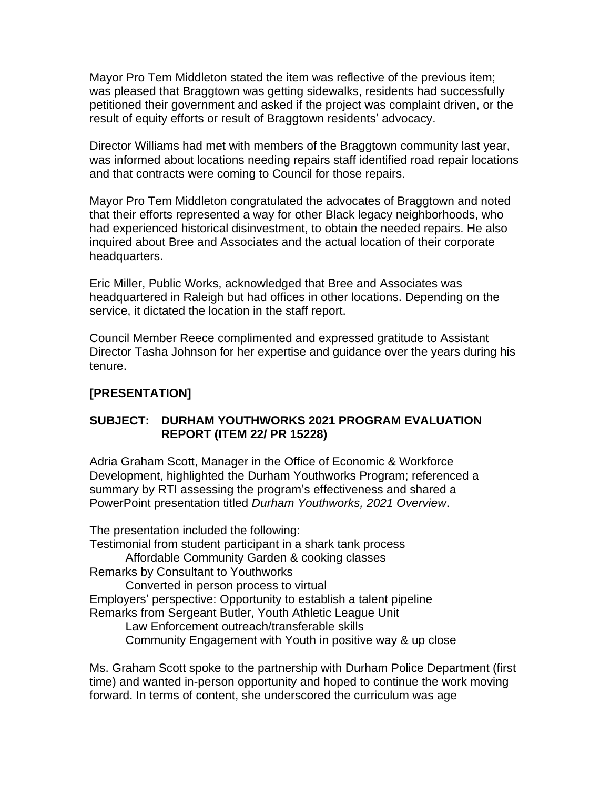Mayor Pro Tem Middleton stated the item was reflective of the previous item; was pleased that Braggtown was getting sidewalks, residents had successfully petitioned their government and asked if the project was complaint driven, or the result of equity efforts or result of Braggtown residents' advocacy.

Director Williams had met with members of the Braggtown community last year, was informed about locations needing repairs staff identified road repair locations and that contracts were coming to Council for those repairs.

Mayor Pro Tem Middleton congratulated the advocates of Braggtown and noted that their efforts represented a way for other Black legacy neighborhoods, who had experienced historical disinvestment, to obtain the needed repairs. He also inquired about Bree and Associates and the actual location of their corporate headquarters.

Eric Miller, Public Works, acknowledged that Bree and Associates was headquartered in Raleigh but had offices in other locations. Depending on the service, it dictated the location in the staff report.

Council Member Reece complimented and expressed gratitude to Assistant Director Tasha Johnson for her expertise and guidance over the years during his tenure.

## **[PRESENTATION]**

## **SUBJECT: DURHAM YOUTHWORKS 2021 PROGRAM EVALUATION REPORT (ITEM 22/ PR 15228)**

Adria Graham Scott, Manager in the Office of Economic & Workforce Development, highlighted the Durham Youthworks Program; referenced a summary by RTI assessing the program's effectiveness and shared a PowerPoint presentation titled *Durham Youthworks, 2021 Overview*.

The presentation included the following: Testimonial from student participant in a shark tank process Affordable Community Garden & cooking classes Remarks by Consultant to Youthworks Converted in person process to virtual Employers' perspective: Opportunity to establish a talent pipeline Remarks from Sergeant Butler, Youth Athletic League Unit Law Enforcement outreach/transferable skills Community Engagement with Youth in positive way & up close

Ms. Graham Scott spoke to the partnership with Durham Police Department (first time) and wanted in-person opportunity and hoped to continue the work moving forward. In terms of content, she underscored the curriculum was age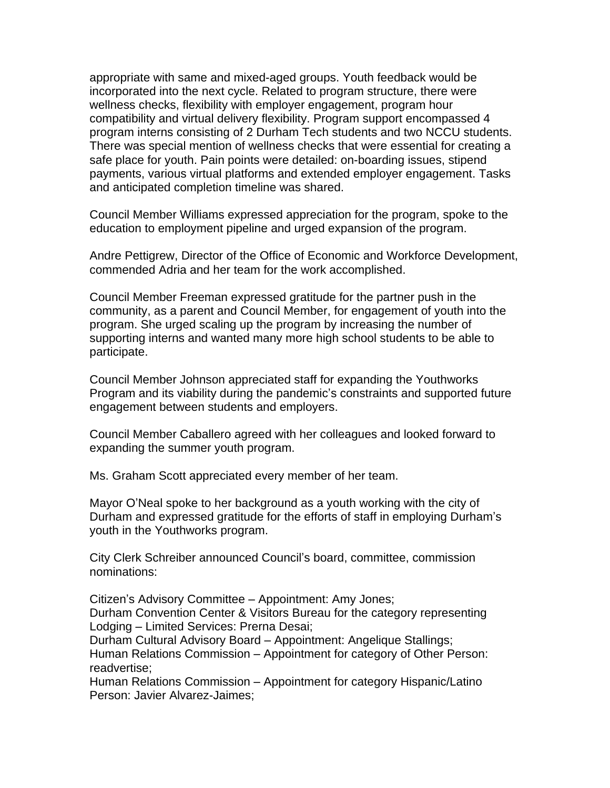appropriate with same and mixed-aged groups. Youth feedback would be incorporated into the next cycle. Related to program structure, there were wellness checks, flexibility with employer engagement, program hour compatibility and virtual delivery flexibility. Program support encompassed 4 program interns consisting of 2 Durham Tech students and two NCCU students. There was special mention of wellness checks that were essential for creating a safe place for youth. Pain points were detailed: on-boarding issues, stipend payments, various virtual platforms and extended employer engagement. Tasks and anticipated completion timeline was shared.

Council Member Williams expressed appreciation for the program, spoke to the education to employment pipeline and urged expansion of the program.

Andre Pettigrew, Director of the Office of Economic and Workforce Development, commended Adria and her team for the work accomplished.

Council Member Freeman expressed gratitude for the partner push in the community, as a parent and Council Member, for engagement of youth into the program. She urged scaling up the program by increasing the number of supporting interns and wanted many more high school students to be able to participate.

Council Member Johnson appreciated staff for expanding the Youthworks Program and its viability during the pandemic's constraints and supported future engagement between students and employers.

Council Member Caballero agreed with her colleagues and looked forward to expanding the summer youth program.

Ms. Graham Scott appreciated every member of her team.

Mayor O'Neal spoke to her background as a youth working with the city of Durham and expressed gratitude for the efforts of staff in employing Durham's youth in the Youthworks program.

City Clerk Schreiber announced Council's board, committee, commission nominations:

Citizen's Advisory Committee – Appointment: Amy Jones; Durham Convention Center & Visitors Bureau for the category representing Lodging – Limited Services: Prerna Desai;

Durham Cultural Advisory Board – Appointment: Angelique Stallings; Human Relations Commission – Appointment for category of Other Person: readvertise;

Human Relations Commission – Appointment for category Hispanic/Latino Person: Javier Alvarez-Jaimes;